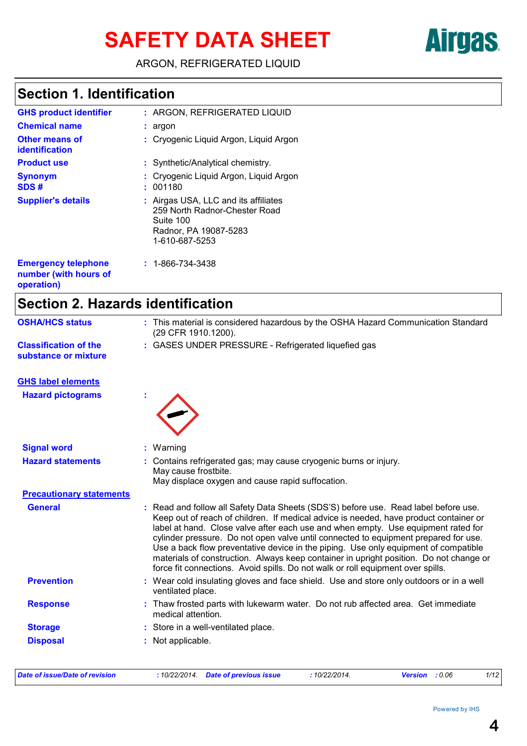# SAFETY DATA SHEET **AITGES**

ARGON, REFRIGERATED LIQUID

# **Section 1. Identification**

| <b>GHS product identifier</b>           | $:$ ARGON. REFRIGERATED LIQUID                                                                                                |
|-----------------------------------------|-------------------------------------------------------------------------------------------------------------------------------|
| <b>Chemical name</b>                    | $: argon$                                                                                                                     |
| <b>Other means of</b><br>identification | : Cryogenic Liquid Argon, Liquid Argon                                                                                        |
| <b>Product use</b>                      | : Synthetic/Analytical chemistry.                                                                                             |
| <b>Synonym</b><br>SDS#                  | : Cryogenic Liquid Argon, Liquid Argon<br>: 001180                                                                            |
| <b>Supplier's details</b>               | : Airgas USA, LLC and its affiliates<br>259 North Radnor-Chester Road<br>Suite 100<br>Radnor, PA 19087-5283<br>1-610-687-5253 |
| <b>Emergency telephone</b>              | $: 1 - 866 - 734 - 3438$                                                                                                      |

### **number (with hours of operation)**

# **Section 2. Hazards identification**

| <b>OSHA/HCS status</b>                               | : This material is considered hazardous by the OSHA Hazard Communication Standard<br>(29 CFR 1910.1200).                                                                                                                                                                                                                                                                                                                                                                                                                                                                                                                         |
|------------------------------------------------------|----------------------------------------------------------------------------------------------------------------------------------------------------------------------------------------------------------------------------------------------------------------------------------------------------------------------------------------------------------------------------------------------------------------------------------------------------------------------------------------------------------------------------------------------------------------------------------------------------------------------------------|
| <b>Classification of the</b><br>substance or mixture | : GASES UNDER PRESSURE - Refrigerated liquefied gas                                                                                                                                                                                                                                                                                                                                                                                                                                                                                                                                                                              |
| <b>GHS label elements</b>                            |                                                                                                                                                                                                                                                                                                                                                                                                                                                                                                                                                                                                                                  |
| <b>Hazard pictograms</b>                             |                                                                                                                                                                                                                                                                                                                                                                                                                                                                                                                                                                                                                                  |
| <b>Signal word</b>                                   | Warning                                                                                                                                                                                                                                                                                                                                                                                                                                                                                                                                                                                                                          |
| <b>Hazard statements</b>                             | Contains refrigerated gas; may cause cryogenic burns or injury.<br>May cause frostbite.<br>May displace oxygen and cause rapid suffocation.                                                                                                                                                                                                                                                                                                                                                                                                                                                                                      |
| <b>Precautionary statements</b>                      |                                                                                                                                                                                                                                                                                                                                                                                                                                                                                                                                                                                                                                  |
| <b>General</b>                                       | Read and follow all Safety Data Sheets (SDS'S) before use. Read label before use.<br>t.<br>Keep out of reach of children. If medical advice is needed, have product container or<br>label at hand. Close valve after each use and when empty. Use equipment rated for<br>cylinder pressure. Do not open valve until connected to equipment prepared for use.<br>Use a back flow preventative device in the piping. Use only equipment of compatible<br>materials of construction. Always keep container in upright position. Do not change or<br>force fit connections. Avoid spills. Do not walk or roll equipment over spills. |
| <b>Prevention</b>                                    | : Wear cold insulating gloves and face shield. Use and store only outdoors or in a well<br>ventilated place.                                                                                                                                                                                                                                                                                                                                                                                                                                                                                                                     |
| <b>Response</b>                                      | : Thaw frosted parts with lukewarm water. Do not rub affected area. Get immediate<br>medical attention.                                                                                                                                                                                                                                                                                                                                                                                                                                                                                                                          |
| <b>Storage</b>                                       | : Store in a well-ventilated place.                                                                                                                                                                                                                                                                                                                                                                                                                                                                                                                                                                                              |
| <b>Disposal</b>                                      | : Not applicable.                                                                                                                                                                                                                                                                                                                                                                                                                                                                                                                                                                                                                |

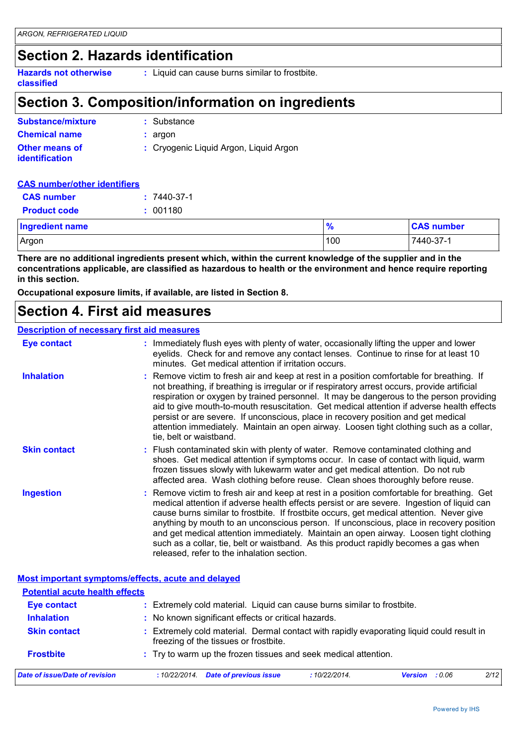# **Section 2. Hazards identification**

**Hazards not otherwise classified :** Liquid can cause burns similar to frostbite.

# **Section 3. Composition/information on ingredients**

| <b>Substance/mixture</b>                       | : Substance                            |
|------------------------------------------------|----------------------------------------|
| <b>Chemical name</b>                           | : argon                                |
| <b>Other means of</b><br><i>identification</i> | : Cryogenic Liquid Argon, Liquid Argon |

#### **CAS number/other identifiers**

| <b>CAS number</b>      | $: 7440 - 37 - 1$ |               |                   |
|------------------------|-------------------|---------------|-------------------|
| <b>Product code</b>    | : 001180          |               |                   |
| <b>Ingredient name</b> |                   | $\frac{9}{6}$ | <b>CAS number</b> |
| Argon                  |                   | 100           | 7440-37-1         |

**There are no additional ingredients present which, within the current knowledge of the supplier and in the concentrations applicable, are classified as hazardous to health or the environment and hence require reporting in this section.**

**Occupational exposure limits, if available, are listed in Section 8.**

# **Section 4. First aid measures**

#### **Description of necessary first aid measures**

| <b>Eye contact</b>                                 | : Immediately flush eyes with plenty of water, occasionally lifting the upper and lower<br>eyelids. Check for and remove any contact lenses. Continue to rinse for at least 10<br>minutes. Get medical attention if irritation occurs.                                                                                                                                                                                                                                                                                                                                                                        |  |  |  |
|----------------------------------------------------|---------------------------------------------------------------------------------------------------------------------------------------------------------------------------------------------------------------------------------------------------------------------------------------------------------------------------------------------------------------------------------------------------------------------------------------------------------------------------------------------------------------------------------------------------------------------------------------------------------------|--|--|--|
| <b>Inhalation</b>                                  | : Remove victim to fresh air and keep at rest in a position comfortable for breathing. If<br>not breathing, if breathing is irregular or if respiratory arrest occurs, provide artificial<br>respiration or oxygen by trained personnel. It may be dangerous to the person providing<br>aid to give mouth-to-mouth resuscitation. Get medical attention if adverse health effects<br>persist or are severe. If unconscious, place in recovery position and get medical<br>attention immediately. Maintain an open airway. Loosen tight clothing such as a collar,<br>tie, belt or waistband.                  |  |  |  |
| <b>Skin contact</b>                                | : Flush contaminated skin with plenty of water. Remove contaminated clothing and<br>shoes. Get medical attention if symptoms occur. In case of contact with liquid, warm<br>frozen tissues slowly with lukewarm water and get medical attention. Do not rub<br>affected area. Wash clothing before reuse. Clean shoes thoroughly before reuse.                                                                                                                                                                                                                                                                |  |  |  |
| <b>Ingestion</b>                                   | : Remove victim to fresh air and keep at rest in a position comfortable for breathing. Get<br>medical attention if adverse health effects persist or are severe. Ingestion of liquid can<br>cause burns similar to frostbite. If frostbite occurs, get medical attention. Never give<br>anything by mouth to an unconscious person. If unconscious, place in recovery position<br>and get medical attention immediately. Maintain an open airway. Loosen tight clothing<br>such as a collar, tie, belt or waistband. As this product rapidly becomes a gas when<br>released, refer to the inhalation section. |  |  |  |
| Most important symptoms/effects, acute and delayed |                                                                                                                                                                                                                                                                                                                                                                                                                                                                                                                                                                                                               |  |  |  |
| <b>Potential acute health effects</b>              |                                                                                                                                                                                                                                                                                                                                                                                                                                                                                                                                                                                                               |  |  |  |
| <b>Eye contact</b>                                 | : Extremely cold material. Liquid can cause burns similar to frostbite.                                                                                                                                                                                                                                                                                                                                                                                                                                                                                                                                       |  |  |  |
| <b>Inhalation</b>                                  | : No known significant effects or critical hazards.                                                                                                                                                                                                                                                                                                                                                                                                                                                                                                                                                           |  |  |  |
| <b>Skin contact</b>                                | : Extremely cold material. Dermal contact with rapidly evaporating liquid could result in<br>freezing of the tissues or frostbite.                                                                                                                                                                                                                                                                                                                                                                                                                                                                            |  |  |  |

### **Frostbite :** Try to warm up the frozen tissues and seek medical attention.

| Date of issue/Date of revision | : 10/22/2014 Date of previous issue | 10/22/2014. | Version : 0.06 | 2/12 |
|--------------------------------|-------------------------------------|-------------|----------------|------|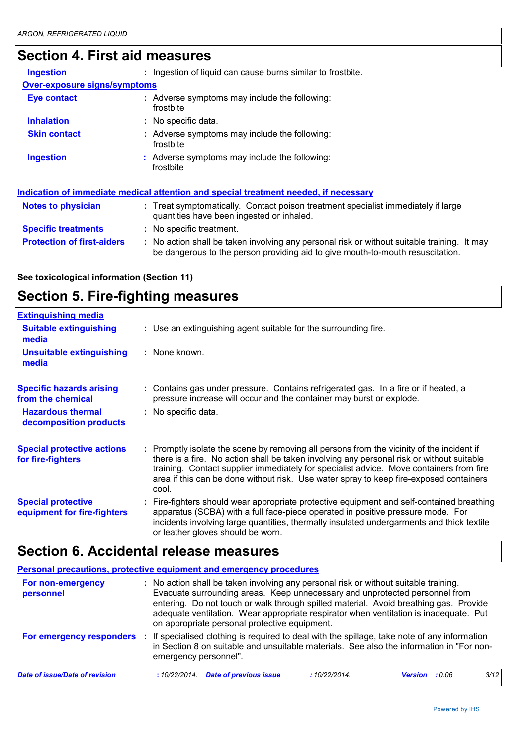# **Section 4. First aid measures**

| <b>Ingestion</b>                    | Ingestion of liquid can cause burns similar to frostbite.                                                                                                                     |
|-------------------------------------|-------------------------------------------------------------------------------------------------------------------------------------------------------------------------------|
| <b>Over-exposure signs/symptoms</b> |                                                                                                                                                                               |
| <b>Eye contact</b>                  | : Adverse symptoms may include the following:<br>frostbite                                                                                                                    |
| <b>Inhalation</b>                   | : No specific data.                                                                                                                                                           |
| <b>Skin contact</b>                 | : Adverse symptoms may include the following:<br>frostbite                                                                                                                    |
| <b>Ingestion</b>                    | : Adverse symptoms may include the following:<br>frostbite                                                                                                                    |
|                                     | Indication of immediate medical attention and special treatment needed, if necessary                                                                                          |
| <b>Notes to physician</b>           | : Treat symptomatically. Contact poison treatment specialist immediately if large<br>quantities have been ingested or inhaled.                                                |
| <b>Specific treatments</b>          | : No specific treatment.                                                                                                                                                      |
| <b>Protection of first-aiders</b>   | : No action shall be taken involving any personal risk or without suitable training. It may<br>be dangerous to the person providing aid to give mouth-to-mouth resuscitation. |

#### **See toxicological information (Section 11)**

# **Section 5. Fire-fighting measures**

| <b>Extinguishing media</b>                               |                                                                                                                                                                                                                                                                                                                                                                                      |
|----------------------------------------------------------|--------------------------------------------------------------------------------------------------------------------------------------------------------------------------------------------------------------------------------------------------------------------------------------------------------------------------------------------------------------------------------------|
| <b>Suitable extinguishing</b><br>media                   | : Use an extinguishing agent suitable for the surrounding fire.                                                                                                                                                                                                                                                                                                                      |
| <b>Unsuitable extinguishing</b><br>media                 | : None known.                                                                                                                                                                                                                                                                                                                                                                        |
| <b>Specific hazards arising</b><br>from the chemical     | : Contains gas under pressure. Contains refrigerated gas. In a fire or if heated, a<br>pressure increase will occur and the container may burst or explode.                                                                                                                                                                                                                          |
| <b>Hazardous thermal</b><br>decomposition products       | : No specific data.                                                                                                                                                                                                                                                                                                                                                                  |
| <b>Special protective actions</b><br>for fire-fighters   | : Promptly isolate the scene by removing all persons from the vicinity of the incident if<br>there is a fire. No action shall be taken involving any personal risk or without suitable<br>training. Contact supplier immediately for specialist advice. Move containers from fire<br>area if this can be done without risk. Use water spray to keep fire-exposed containers<br>cool. |
| <b>Special protective</b><br>equipment for fire-fighters | : Fire-fighters should wear appropriate protective equipment and self-contained breathing<br>apparatus (SCBA) with a full face-piece operated in positive pressure mode. For<br>incidents involving large quantities, thermally insulated undergarments and thick textile<br>or leather gloves should be worn.                                                                       |

# **Section 6. Accidental release measures**

| Personal precautions, protective equipment and emergency procedures |                       |                                                                                                                                                                                                                                                                                                                                                                                                        |             |                |        |      |
|---------------------------------------------------------------------|-----------------------|--------------------------------------------------------------------------------------------------------------------------------------------------------------------------------------------------------------------------------------------------------------------------------------------------------------------------------------------------------------------------------------------------------|-------------|----------------|--------|------|
| For non-emergency<br>personnel                                      |                       | : No action shall be taken involving any personal risk or without suitable training.<br>Evacuate surrounding areas. Keep unnecessary and unprotected personnel from<br>entering. Do not touch or walk through spilled material. Avoid breathing gas. Provide<br>adequate ventilation. Wear appropriate respirator when ventilation is inadequate. Put<br>on appropriate personal protective equipment. |             |                |        |      |
| For emergency responders :                                          | emergency personnel". | If specialised clothing is required to deal with the spillage, take note of any information<br>in Section 8 on suitable and unsuitable materials. See also the information in "For non-                                                                                                                                                                                                                |             |                |        |      |
| Date of issue/Date of revision                                      | :10/22/2014.          | <b>Date of previous issue</b>                                                                                                                                                                                                                                                                                                                                                                          | :10/22/2014 | <b>Version</b> | : 0.06 | 3/12 |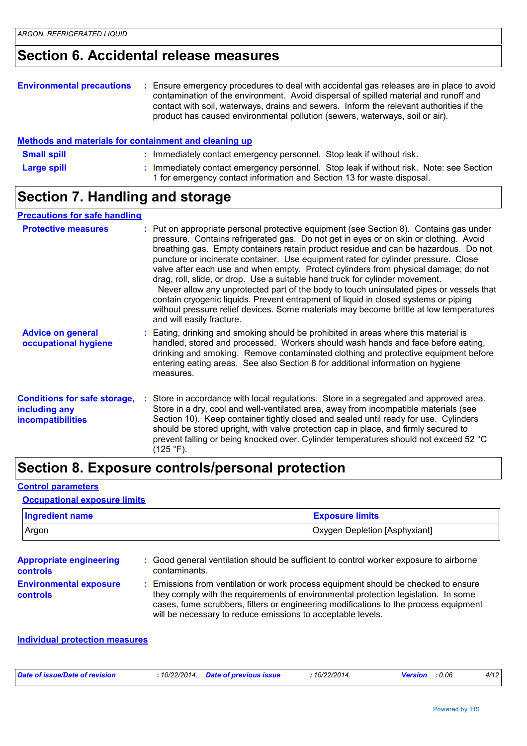# **Section 6. Accidental release measures**

| <b>Environmental precautions</b> | : Ensure emergency procedures to deal with accidental gas releases are in place to avoid<br>contamination of the environment. Avoid dispersal of spilled material and runoff and<br>contact with soil, waterways, drains and sewers. Inform the relevant authorities if the<br>product has caused environmental pollution (sewers, waterways, soil or air). |
|----------------------------------|-------------------------------------------------------------------------------------------------------------------------------------------------------------------------------------------------------------------------------------------------------------------------------------------------------------------------------------------------------------|
|----------------------------------|-------------------------------------------------------------------------------------------------------------------------------------------------------------------------------------------------------------------------------------------------------------------------------------------------------------------------------------------------------------|

#### : Immediately contact emergency personnel. Stop leak if without risk. Note: see Section 1 for emergency contact information and Section 13 for waste disposal. **Large spill : Small spill :** Immediately contact emergency personnel. Stop leak if without risk. **Methods and materials for containment and cleaning up**

# **Section 7. Handling and storage**

#### **Precautions for safe handling**

| <b>Protective measures</b>                                                | : Put on appropriate personal protective equipment (see Section 8). Contains gas under<br>pressure. Contains refrigerated gas. Do not get in eyes or on skin or clothing. Avoid<br>breathing gas. Empty containers retain product residue and can be hazardous. Do not<br>puncture or incinerate container. Use equipment rated for cylinder pressure. Close<br>valve after each use and when empty. Protect cylinders from physical damage; do not<br>drag, roll, slide, or drop. Use a suitable hand truck for cylinder movement.<br>Never allow any unprotected part of the body to touch uninsulated pipes or vessels that<br>contain cryogenic liquids. Prevent entrapment of liquid in closed systems or piping<br>without pressure relief devices. Some materials may become brittle at low temperatures<br>and will easily fracture. |  |
|---------------------------------------------------------------------------|----------------------------------------------------------------------------------------------------------------------------------------------------------------------------------------------------------------------------------------------------------------------------------------------------------------------------------------------------------------------------------------------------------------------------------------------------------------------------------------------------------------------------------------------------------------------------------------------------------------------------------------------------------------------------------------------------------------------------------------------------------------------------------------------------------------------------------------------|--|
| <b>Advice on general</b><br>occupational hygiene                          | : Eating, drinking and smoking should be prohibited in areas where this material is<br>handled, stored and processed. Workers should wash hands and face before eating,<br>drinking and smoking. Remove contaminated clothing and protective equipment before<br>entering eating areas. See also Section 8 for additional information on hygiene<br>measures.                                                                                                                                                                                                                                                                                                                                                                                                                                                                                |  |
| <b>Conditions for safe storage,</b><br>including any<br>incompatibilities | : Store in accordance with local regulations. Store in a segregated and approved area.<br>Store in a dry, cool and well-ventilated area, away from incompatible materials (see<br>Section 10). Keep container tightly closed and sealed until ready for use. Cylinders<br>should be stored upright, with valve protection cap in place, and firmly secured to<br>prevent falling or being knocked over. Cylinder temperatures should not exceed 52 °C<br>(125 °F).                                                                                                                                                                                                                                                                                                                                                                           |  |

## **Section 8. Exposure controls/personal protection**

#### **Control parameters**

#### **Occupational exposure limits**

| <b>Ingredient name</b> | <b>Exposure limits</b>        |
|------------------------|-------------------------------|
| Argon                  | Oxygen Depletion [Asphyxiant] |

| <b>Appropriate engineering</b><br><b>controls</b> | : Good general ventilation should be sufficient to control worker exposure to airborne<br>contaminants.                                                                                                                                                                                                                         |
|---------------------------------------------------|---------------------------------------------------------------------------------------------------------------------------------------------------------------------------------------------------------------------------------------------------------------------------------------------------------------------------------|
| <b>Environmental exposure</b><br><b>controls</b>  | : Emissions from ventilation or work process equipment should be checked to ensure<br>they comply with the requirements of environmental protection legislation. In some<br>cases, fume scrubbers, filters or engineering modifications to the process equipment<br>will be necessary to reduce emissions to acceptable levels. |

#### **Individual protection measures**

| Date of issue/Date of revision | 10/22/2014. | Date of previous issue | 10/22/2014 | <b>Versior</b> | 0.06 | 4/12 |
|--------------------------------|-------------|------------------------|------------|----------------|------|------|
|                                |             | .                      |            |                |      |      |
|                                |             |                        |            |                |      |      |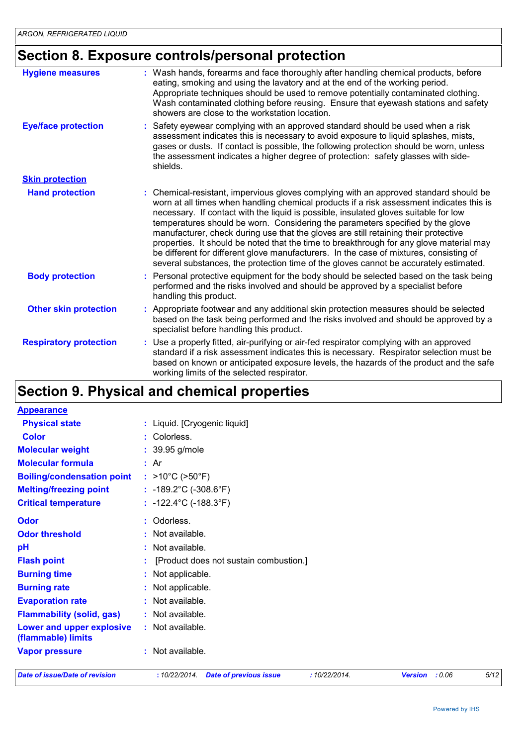# **Section 8. Exposure controls/personal protection**

| <b>Hygiene measures</b>       | : Wash hands, forearms and face thoroughly after handling chemical products, before<br>eating, smoking and using the lavatory and at the end of the working period.<br>Appropriate techniques should be used to remove potentially contaminated clothing.<br>Wash contaminated clothing before reusing. Ensure that eyewash stations and safety<br>showers are close to the workstation location.                                                                                                                                                                                                                                                                                                                                |
|-------------------------------|----------------------------------------------------------------------------------------------------------------------------------------------------------------------------------------------------------------------------------------------------------------------------------------------------------------------------------------------------------------------------------------------------------------------------------------------------------------------------------------------------------------------------------------------------------------------------------------------------------------------------------------------------------------------------------------------------------------------------------|
| <b>Eye/face protection</b>    | : Safety eyewear complying with an approved standard should be used when a risk<br>assessment indicates this is necessary to avoid exposure to liquid splashes, mists,<br>gases or dusts. If contact is possible, the following protection should be worn, unless<br>the assessment indicates a higher degree of protection: safety glasses with side-<br>shields.                                                                                                                                                                                                                                                                                                                                                               |
| <b>Skin protection</b>        |                                                                                                                                                                                                                                                                                                                                                                                                                                                                                                                                                                                                                                                                                                                                  |
| <b>Hand protection</b>        | : Chemical-resistant, impervious gloves complying with an approved standard should be<br>worn at all times when handling chemical products if a risk assessment indicates this is<br>necessary. If contact with the liquid is possible, insulated gloves suitable for low<br>temperatures should be worn. Considering the parameters specified by the glove<br>manufacturer, check during use that the gloves are still retaining their protective<br>properties. It should be noted that the time to breakthrough for any glove material may<br>be different for different glove manufacturers. In the case of mixtures, consisting of<br>several substances, the protection time of the gloves cannot be accurately estimated. |
| <b>Body protection</b>        | : Personal protective equipment for the body should be selected based on the task being<br>performed and the risks involved and should be approved by a specialist before<br>handling this product.                                                                                                                                                                                                                                                                                                                                                                                                                                                                                                                              |
| <b>Other skin protection</b>  | : Appropriate footwear and any additional skin protection measures should be selected<br>based on the task being performed and the risks involved and should be approved by a<br>specialist before handling this product.                                                                                                                                                                                                                                                                                                                                                                                                                                                                                                        |
| <b>Respiratory protection</b> | : Use a properly fitted, air-purifying or air-fed respirator complying with an approved<br>standard if a risk assessment indicates this is necessary. Respirator selection must be<br>based on known or anticipated exposure levels, the hazards of the product and the safe<br>working limits of the selected respirator.                                                                                                                                                                                                                                                                                                                                                                                                       |

# **Section 9. Physical and chemical properties**

| <b>Appearance</b>                               |                                                               |                |      |
|-------------------------------------------------|---------------------------------------------------------------|----------------|------|
| <b>Physical state</b>                           | : Liquid. [Cryogenic liquid]                                  |                |      |
| <b>Color</b>                                    | : Colorless.                                                  |                |      |
| <b>Molecular weight</b>                         | : 39.95 g/mole                                                |                |      |
| <b>Molecular formula</b>                        | : Ar                                                          |                |      |
| <b>Boiling/condensation point</b>               | : $>10^{\circ}$ C ( $>50^{\circ}$ F)                          |                |      |
| <b>Melting/freezing point</b>                   | : $-189.2^{\circ}$ C ( $-308.6^{\circ}$ F)                    |                |      |
| <b>Critical temperature</b>                     | : $-122.4^{\circ}$ C ( $-188.3^{\circ}$ F)                    |                |      |
| Odor                                            | : Odorless.                                                   |                |      |
| <b>Odor threshold</b>                           | : Not available.                                              |                |      |
| pH                                              | : Not available.                                              |                |      |
| <b>Flash point</b>                              | [Product does not sustain combustion.]                        |                |      |
| <b>Burning time</b>                             | : Not applicable.                                             |                |      |
| <b>Burning rate</b>                             | : Not applicable.                                             |                |      |
| <b>Evaporation rate</b>                         | : Not available.                                              |                |      |
| <b>Flammability (solid, gas)</b>                | : Not available.                                              |                |      |
| Lower and upper explosive<br>(flammable) limits | : Not available.                                              |                |      |
| <b>Vapor pressure</b>                           | : Not available.                                              |                |      |
| <b>Date of issue/Date of revision</b>           | :10/22/2014.<br>:10/22/2014.<br><b>Date of previous issue</b> | Version : 0.06 | 5/12 |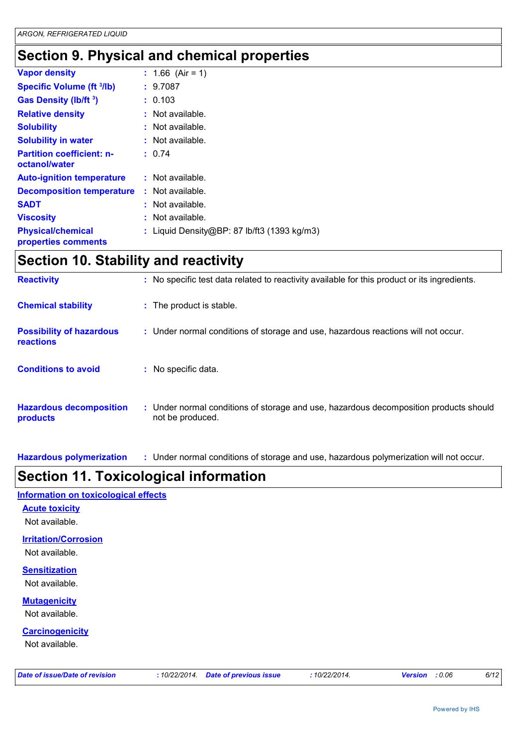# **Section 9. Physical and chemical properties**

| $: 1.66$ (Air = 1)                          |
|---------------------------------------------|
| : 9.7087                                    |
| : 0.103                                     |
| : Not available.                            |
| : Not available.                            |
| : Not available.                            |
| : 0.74                                      |
| $:$ Not available.                          |
| $:$ Not available.                          |
| : Not available.                            |
| Not available.                              |
| : Liquid Density@BP: 87 lb/ft3 (1393 kg/m3) |
|                                             |

# **Section 10. Stability and reactivity**

| <b>Reactivity</b>                                   | : No specific test data related to reactivity available for this product or its ingredients.              |
|-----------------------------------------------------|-----------------------------------------------------------------------------------------------------------|
| <b>Chemical stability</b>                           | : The product is stable.                                                                                  |
| <b>Possibility of hazardous</b><br><b>reactions</b> | : Under normal conditions of storage and use, hazardous reactions will not occur.                         |
| <b>Conditions to avoid</b>                          | : No specific data.                                                                                       |
| <b>Hazardous decomposition</b><br>products          | : Under normal conditions of storage and use, hazardous decomposition products should<br>not be produced. |

**Hazardous polymerization :** Under normal conditions of storage and use, hazardous polymerization will not occur.

# **Section 11. Toxicological information**

#### **Information on toxicological effects**

**Acute toxicity**

#### Not available.

#### **Irritation/Corrosion**

Not available.

### **Sensitization**

Not available.

### **Mutagenicity**

Not available.

#### **Carcinogenicity**

Not available.

|  |  |  |  |  |  | Date of issue/Date of revision |
|--|--|--|--|--|--|--------------------------------|
|--|--|--|--|--|--|--------------------------------|

*Date of issue/Date of revision* **:** *10/22/2014. Date of previous issue : 10/22/2014. Version : 0.06 6/12*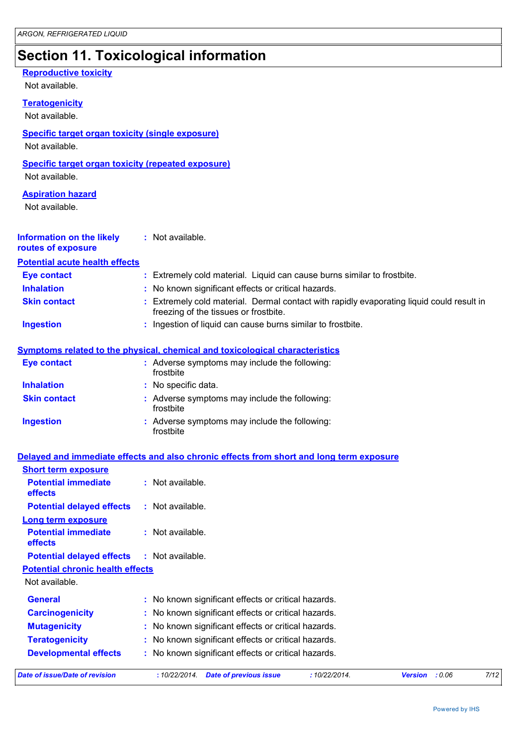# **Section 11. Toxicological information**

| <b>Reproductive toxicity</b><br>Not available.                              |                                                                                                                                  |
|-----------------------------------------------------------------------------|----------------------------------------------------------------------------------------------------------------------------------|
| <b>Teratogenicity</b><br>Not available.                                     |                                                                                                                                  |
| <b>Specific target organ toxicity (single exposure)</b><br>Not available.   |                                                                                                                                  |
| <b>Specific target organ toxicity (repeated exposure)</b><br>Not available. |                                                                                                                                  |
| <b>Aspiration hazard</b><br>Not available.                                  |                                                                                                                                  |
| <b>Information on the likely</b><br>routes of exposure                      | : Not available.                                                                                                                 |
| <b>Potential acute health effects</b>                                       |                                                                                                                                  |
| <b>Eye contact</b>                                                          | : Extremely cold material. Liquid can cause burns similar to frostbite.                                                          |
| <b>Inhalation</b>                                                           | : No known significant effects or critical hazards.                                                                              |
| <b>Skin contact</b>                                                         | Extremely cold material. Dermal contact with rapidly evaporating liquid could result in<br>freezing of the tissues or frostbite. |
| <b>Ingestion</b>                                                            | : Ingestion of liquid can cause burns similar to frostbite.                                                                      |
|                                                                             |                                                                                                                                  |
|                                                                             | Symptoms related to the physical, chemical and toxicological characteristics                                                     |
| <b>Eye contact</b>                                                          | : Adverse symptoms may include the following:<br>frostbite                                                                       |
| <b>Inhalation</b>                                                           | : No specific data.                                                                                                              |
| <b>Skin contact</b>                                                         | : Adverse symptoms may include the following:<br>frostbite                                                                       |
| <b>Ingestion</b>                                                            | : Adverse symptoms may include the following:<br>frostbite                                                                       |
|                                                                             | Delayed and immediate effects and also chronic effects from short and long term exposure                                         |
| <b>Short term exposure</b>                                                  |                                                                                                                                  |
| <b>Potential immediate</b><br>effects                                       | : Not available.                                                                                                                 |
| <b>Potential delayed effects</b>                                            | : Not available.                                                                                                                 |
| Long term exposure                                                          |                                                                                                                                  |
| <b>Potential immediate</b><br>effects                                       | : Not available.                                                                                                                 |
| <b>Potential delayed effects</b>                                            | : Not available.                                                                                                                 |
| <b>Potential chronic health effects</b>                                     |                                                                                                                                  |
| Not available.                                                              |                                                                                                                                  |
| <b>General</b>                                                              | No known significant effects or critical hazards.                                                                                |
| <b>Carcinogenicity</b>                                                      | No known significant effects or critical hazards.                                                                                |
| <b>Mutagenicity</b>                                                         | No known significant effects or critical hazards.                                                                                |
| <b>Teratogenicity</b>                                                       | No known significant effects or critical hazards.                                                                                |
| <b>Developmental effects</b>                                                | No known significant effects or critical hazards.                                                                                |
| <b>Date of issue/Date of revision</b>                                       | : 10/22/2014.<br>7/12<br>: 10/22/2014.<br><b>Date of previous issue</b><br><b>Version</b><br>: 0.06                              |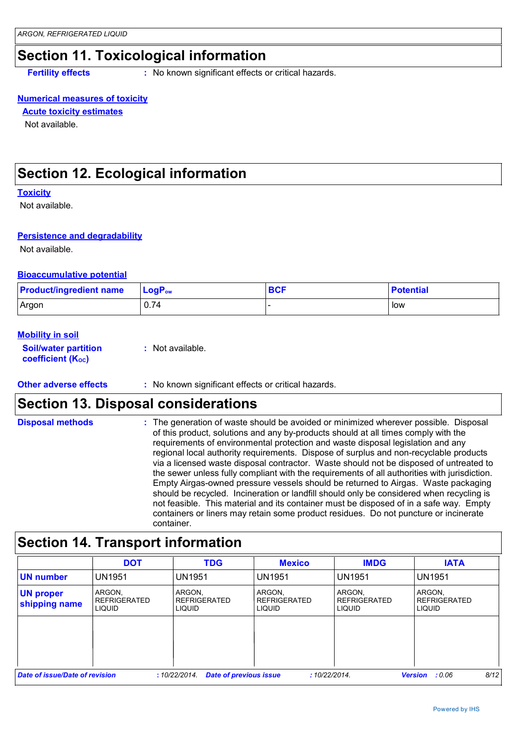# **Section 11. Toxicological information**

**Fertility effects :** No known significant effects or critical hazards.

#### **Numerical measures of toxicity**

**Acute toxicity estimates**

Not available.

# **Section 12. Ecological information**

#### **Toxicity**

Not available.

#### **Persistence and degradability**

Not available.

#### **Bioaccumulative potential**

| <b>Product/ingredient name</b> | $\mathsf{LoaP}_\mathsf{ow}$ | <b>BCF</b> | <b>Potential</b> |
|--------------------------------|-----------------------------|------------|------------------|
| Argon                          | 0.74                        |            | low              |

#### **Mobility in soil**

**Soil/water partition coefficient (KOC) :** Not available.

**Other adverse effects** : No known significant effects or critical hazards.

## **Section 13. Disposal considerations**

**Disposal methods :**

The generation of waste should be avoided or minimized wherever possible. Disposal of this product, solutions and any by-products should at all times comply with the requirements of environmental protection and waste disposal legislation and any regional local authority requirements. Dispose of surplus and non-recyclable products via a licensed waste disposal contractor. Waste should not be disposed of untreated to the sewer unless fully compliant with the requirements of all authorities with jurisdiction. Empty Airgas-owned pressure vessels should be returned to Airgas. Waste packaging should be recycled. Incineration or landfill should only be considered when recycling is not feasible. This material and its container must be disposed of in a safe way. Empty containers or liners may retain some product residues. Do not puncture or incinerate container.

# **Section 14. Transport information**

|                                   | <b>DOT</b>                                     | <b>TDG</b>                                     | <b>Mexico</b>                                  | <b>IMDG</b>                             | <b>IATA</b>                                    |
|-----------------------------------|------------------------------------------------|------------------------------------------------|------------------------------------------------|-----------------------------------------|------------------------------------------------|
| <b>UN number</b>                  | <b>UN1951</b>                                  | <b>UN1951</b>                                  | <b>UN1951</b>                                  | <b>UN1951</b>                           | <b>UN1951</b>                                  |
| <b>UN proper</b><br>shipping name | ARGON.<br><b>REFRIGERATED</b><br><b>LIQUID</b> | ARGON,<br><b>REFRIGERATED</b><br><b>LIQUID</b> | ARGON,<br><b>REFRIGERATED</b><br><b>LIQUID</b> | ARGON.<br><b>REFRIGERATED</b><br>LIQUID | ARGON.<br><b>REFRIGERATED</b><br><b>LIQUID</b> |
|                                   |                                                |                                                |                                                |                                         |                                                |
|                                   |                                                |                                                |                                                |                                         |                                                |
| Date of issue/Date of revision    |                                                | <b>Date of previous issue</b><br>:10/22/2014.  | :10/22/2014.                                   |                                         | 8/12<br><b>Version</b><br>: 0.06               |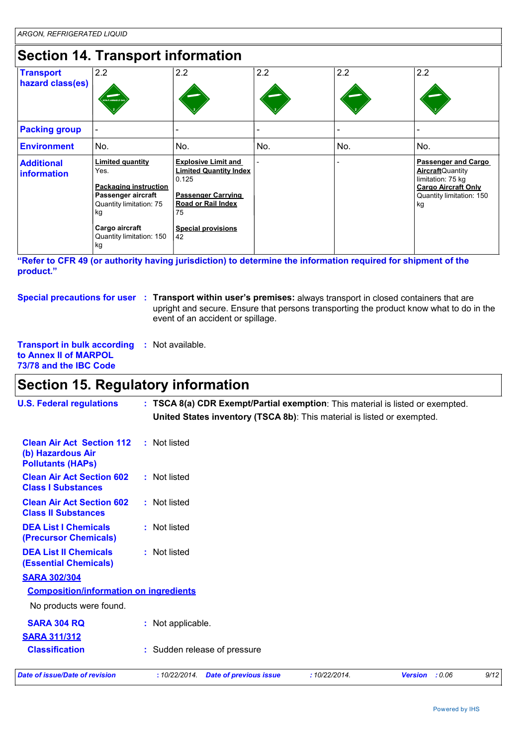# **Section 14. Transport information**

| <b>Transport</b><br>hazard class(es)    | 2.2                                                                                                                                                                  | 2.2                                                                                                                                                                     | 2.2 | 2.2 | 2.2                                                                                                                                         |
|-----------------------------------------|----------------------------------------------------------------------------------------------------------------------------------------------------------------------|-------------------------------------------------------------------------------------------------------------------------------------------------------------------------|-----|-----|---------------------------------------------------------------------------------------------------------------------------------------------|
|                                         | VON-FLAMMADLE G                                                                                                                                                      |                                                                                                                                                                         |     |     |                                                                                                                                             |
| <b>Packing group</b>                    |                                                                                                                                                                      |                                                                                                                                                                         |     |     |                                                                                                                                             |
| <b>Environment</b>                      | No.                                                                                                                                                                  | No.                                                                                                                                                                     | No. | No. | No.                                                                                                                                         |
| <b>Additional</b><br><b>information</b> | <b>Limited quantity</b><br>Yes.<br><b>Packaging instruction</b><br>Passenger aircraft<br>Quantity limitation: 75<br>kg<br>Cargo aircraft<br>Quantity limitation: 150 | <b>Explosive Limit and</b><br><b>Limited Quantity Index</b><br>0.125<br><b>Passenger Carrying</b><br><b>Road or Rail Index</b><br>75<br><b>Special provisions</b><br>42 |     |     | <b>Passenger and Cargo</b><br><b>Aircraft</b> Quantity<br>limitation: 75 kg<br><b>Cargo Aircraft Only</b><br>Quantity limitation: 150<br>kg |

**"Refer to CFR 49 (or authority having jurisdiction) to determine the information required for shipment of the product."** 

**Special precautions for user Transport within user's premises:** always transport in closed containers that are **:** upright and secure. Ensure that persons transporting the product know what to do in the event of an accident or spillage.

#### **Transport in bulk according :** Not available. **to Annex II of MARPOL 73/78 and the IBC Code**

# **Section 15. Regulatory information**

| <b>U.S. Federal regulations</b>                                                   | : TSCA 8(a) CDR Exempt/Partial exemption: This material is listed or exempted.<br>United States inventory (TSCA 8b): This material is listed or exempted. |      |
|-----------------------------------------------------------------------------------|-----------------------------------------------------------------------------------------------------------------------------------------------------------|------|
| <b>Clean Air Act Section 112</b><br>(b) Hazardous Air<br><b>Pollutants (HAPs)</b> | : Not listed                                                                                                                                              |      |
| <b>Clean Air Act Section 602</b><br><b>Class I Substances</b>                     | : Not listed                                                                                                                                              |      |
| <b>Clean Air Act Section 602</b><br><b>Class II Substances</b>                    | : Not listed                                                                                                                                              |      |
| <b>DEA List I Chemicals</b><br>(Precursor Chemicals)                              | : Not listed                                                                                                                                              |      |
| <b>DEA List II Chemicals</b><br><b>(Essential Chemicals)</b>                      | : Not listed                                                                                                                                              |      |
| <b>SARA 302/304</b>                                                               |                                                                                                                                                           |      |
| <b>Composition/information on ingredients</b>                                     |                                                                                                                                                           |      |
| No products were found.                                                           |                                                                                                                                                           |      |
| <b>SARA 304 RQ</b>                                                                | : Not applicable.                                                                                                                                         |      |
| <b>SARA 311/312</b>                                                               |                                                                                                                                                           |      |
| <b>Classification</b>                                                             | : Sudden release of pressure                                                                                                                              |      |
| <b>Date of issue/Date of revision</b>                                             | : 10/22/2014.<br><b>Date of previous issue</b><br>:10/22/2014.<br>: 0.06<br><b>Version</b>                                                                | 9/12 |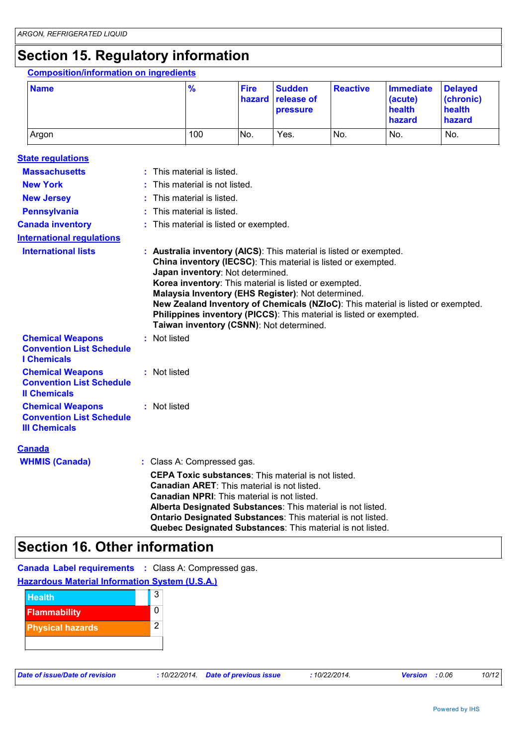# **Section 15. Regulatory information**

#### **Composition/information on ingredients**

| <b>Name</b> | $\frac{9}{6}$ | <b>Fire</b> | <b>Sudden</b><br>hazard release of<br><b>pressure</b> | Reactive        | Immediate<br>(acute)<br>health<br><b>hazard</b> | <b>Delaved</b><br>(chronic)<br>health<br>hazard |
|-------------|---------------|-------------|-------------------------------------------------------|-----------------|-------------------------------------------------|-------------------------------------------------|
| Argon       | 100           | No.         | Yes.                                                  | IN <sub>o</sub> | No.                                             | No.                                             |

| <b>State regulations</b>                                                           |                                                                                                                                                                                                                                                                                                                                                                                                                                                                                               |  |
|------------------------------------------------------------------------------------|-----------------------------------------------------------------------------------------------------------------------------------------------------------------------------------------------------------------------------------------------------------------------------------------------------------------------------------------------------------------------------------------------------------------------------------------------------------------------------------------------|--|
| <b>Massachusetts</b>                                                               | : This material is listed.                                                                                                                                                                                                                                                                                                                                                                                                                                                                    |  |
| <b>New York</b>                                                                    | : This material is not listed.                                                                                                                                                                                                                                                                                                                                                                                                                                                                |  |
| <b>New Jersey</b>                                                                  | : This material is listed.                                                                                                                                                                                                                                                                                                                                                                                                                                                                    |  |
| <b>Pennsylvania</b>                                                                | : This material is listed.                                                                                                                                                                                                                                                                                                                                                                                                                                                                    |  |
| <b>Canada inventory</b>                                                            | : This material is listed or exempted.                                                                                                                                                                                                                                                                                                                                                                                                                                                        |  |
| <b>International regulations</b>                                                   |                                                                                                                                                                                                                                                                                                                                                                                                                                                                                               |  |
| <b>International lists</b>                                                         | : Australia inventory (AICS): This material is listed or exempted.<br>China inventory (IECSC): This material is listed or exempted.<br>Japan inventory: Not determined.<br>Korea inventory: This material is listed or exempted.<br>Malaysia Inventory (EHS Register): Not determined.<br>New Zealand Inventory of Chemicals (NZIoC): This material is listed or exempted.<br>Philippines inventory (PICCS): This material is listed or exempted.<br>Taiwan inventory (CSNN): Not determined. |  |
| <b>Chemical Weapons</b><br><b>Convention List Schedule</b><br><b>I</b> Chemicals   | : Not listed                                                                                                                                                                                                                                                                                                                                                                                                                                                                                  |  |
| <b>Chemical Weapons</b><br><b>Convention List Schedule</b><br><b>Il Chemicals</b>  | : Not listed                                                                                                                                                                                                                                                                                                                                                                                                                                                                                  |  |
| <b>Chemical Weapons</b><br><b>Convention List Schedule</b><br><b>III Chemicals</b> | : Not listed                                                                                                                                                                                                                                                                                                                                                                                                                                                                                  |  |
| <b>Canada</b>                                                                      |                                                                                                                                                                                                                                                                                                                                                                                                                                                                                               |  |
| <b>WHMIS (Canada)</b>                                                              | : Class A: Compressed gas.                                                                                                                                                                                                                                                                                                                                                                                                                                                                    |  |
|                                                                                    | <b>CEPA Toxic substances: This material is not listed.</b><br><b>Canadian ARET:</b> This material is not listed.<br><b>Canadian NPRI:</b> This material is not listed.<br>Alberta Designated Substances: This material is not listed.<br><b>Ontario Designated Substances: This material is not listed.</b><br>Quebec Designated Substances: This material is not listed.                                                                                                                     |  |

# **Section 16. Other information**

**Canada Label requirements :** Class A: Compressed gas.

#### **Hazardous Material Information System (U.S.A.)**

| <b>Health</b>           | 3 |
|-------------------------|---|
| <b>Flammability</b>     | ი |
| <b>Physical hazards</b> | 2 |
|                         |   |

|  |  | Date of issue/Date of revision |
|--|--|--------------------------------|
|  |  |                                |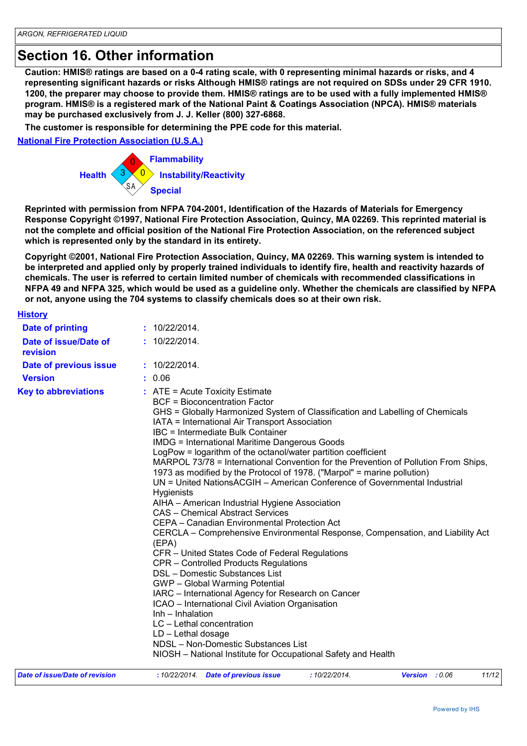# **Section 16. Other information**

**The Control of the Control of the Control of the Control of the Control of the Protection Association (NPCA).**<br>
In the parameter of risks, Atthough HMIS® ratings are not required on SDSs under 29 CFR 1910.<br>
Incose to prov **Caution: HMIS® ratings are based on a 0-4 rating scale, with 0 representing minimal hazards or risks, and 4 representing significant hazards or risks Although HMIS® ratings are not required on SDSs under 29 CFR 1910. 1200, the preparer may choose to provide them. HMIS® ratings are to be used with a fully implemented HMIS® program. HMIS® is a registered mark of the National Paint & Coatings Association (NPCA). HMIS® materials may be purchased exclusively from J. J. Keller (800) 327-6868.**

**The customer is responsible for determining the PPE code for this material.**

**National Fire Protection Association (U.S.A.)**



**Reprinted with permission from NFPA 704-2001, Identification of the Hazards of Materials for Emergency Response Copyright ©1997, National Fire Protection Association, Quincy, MA 02269. This reprinted material is not the complete and official position of the National Fire Protection Association, on the referenced subject which is represented only by the standard in its entirety.**

**Copyright ©2001, National Fire Protection Association, Quincy, MA 02269. This warning system is intended to be interpreted and applied only by properly trained individuals to identify fire, health and reactivity hazards of chemicals. The user is referred to certain limited number of chemicals with recommended classifications in NFPA 49 and NFPA 325, which would be used as a guideline only. Whether the chemicals are classified by NFPA or not, anyone using the 704 systems to classify chemicals does so at their own risk.**

| <b>History</b>                    |                                                                                                                                                                                                                                                                                                                                                                                                                                                                                                                                                                                                                                                                                                                                                                                                                                                                                                                                                                                                                                                                                                                                                                                                                                                                                                                                                    |
|-----------------------------------|----------------------------------------------------------------------------------------------------------------------------------------------------------------------------------------------------------------------------------------------------------------------------------------------------------------------------------------------------------------------------------------------------------------------------------------------------------------------------------------------------------------------------------------------------------------------------------------------------------------------------------------------------------------------------------------------------------------------------------------------------------------------------------------------------------------------------------------------------------------------------------------------------------------------------------------------------------------------------------------------------------------------------------------------------------------------------------------------------------------------------------------------------------------------------------------------------------------------------------------------------------------------------------------------------------------------------------------------------|
| <b>Date of printing</b>           | : 10/22/2014.                                                                                                                                                                                                                                                                                                                                                                                                                                                                                                                                                                                                                                                                                                                                                                                                                                                                                                                                                                                                                                                                                                                                                                                                                                                                                                                                      |
| Date of issue/Date of<br>revision | : 10/22/2014.                                                                                                                                                                                                                                                                                                                                                                                                                                                                                                                                                                                                                                                                                                                                                                                                                                                                                                                                                                                                                                                                                                                                                                                                                                                                                                                                      |
| Date of previous issue            | : 10/22/2014.                                                                                                                                                                                                                                                                                                                                                                                                                                                                                                                                                                                                                                                                                                                                                                                                                                                                                                                                                                                                                                                                                                                                                                                                                                                                                                                                      |
| <b>Version</b>                    | : 0.06                                                                                                                                                                                                                                                                                                                                                                                                                                                                                                                                                                                                                                                                                                                                                                                                                                                                                                                                                                                                                                                                                                                                                                                                                                                                                                                                             |
| <b>Key to abbreviations</b>       | $:$ ATE = Acute Toxicity Estimate<br><b>BCF = Bioconcentration Factor</b><br>GHS = Globally Harmonized System of Classification and Labelling of Chemicals<br>IATA = International Air Transport Association<br>IBC = Intermediate Bulk Container<br><b>IMDG = International Maritime Dangerous Goods</b><br>LogPow = logarithm of the octanol/water partition coefficient<br>MARPOL 73/78 = International Convention for the Prevention of Pollution From Ships,<br>1973 as modified by the Protocol of 1978. ("Marpol" = marine pollution)<br>UN = United NationsACGIH – American Conference of Governmental Industrial<br><b>Hygienists</b><br>AIHA - American Industrial Hygiene Association<br><b>CAS</b> – Chemical Abstract Services<br>CEPA - Canadian Environmental Protection Act<br>CERCLA – Comprehensive Environmental Response, Compensation, and Liability Act<br>(EPA)<br>CFR - United States Code of Federal Regulations<br>CPR – Controlled Products Regulations<br>DSL - Domestic Substances List<br>GWP - Global Warming Potential<br>IARC - International Agency for Research on Cancer<br>ICAO - International Civil Aviation Organisation<br>Inh - Inhalation<br>LC - Lethal concentration<br>$LD - Let$ hal dosage<br>NDSL - Non-Domestic Substances List<br>NIOSH - National Institute for Occupational Safety and Health |